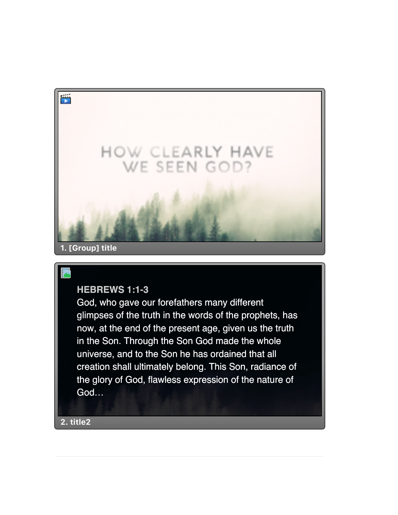

## **HEBREWS 1:1-3**

God, who gave our forefathers many different glimpses of the truth in the words of the prophets, has now, at the end of the present age, given us the truth in the Son. Through the Son God made the whole universe, and to the Son he has ordained that all creation shall ultimately belong. This Son, radiance of the glory of God, flawless expression of the nature of God…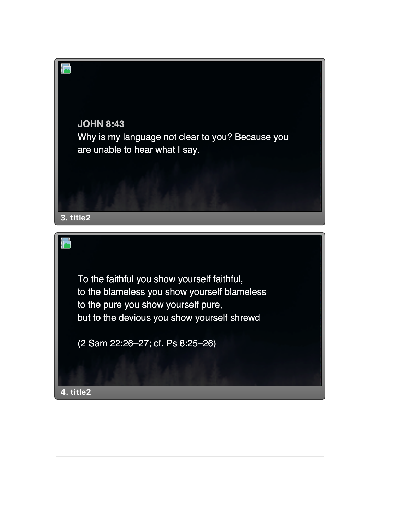

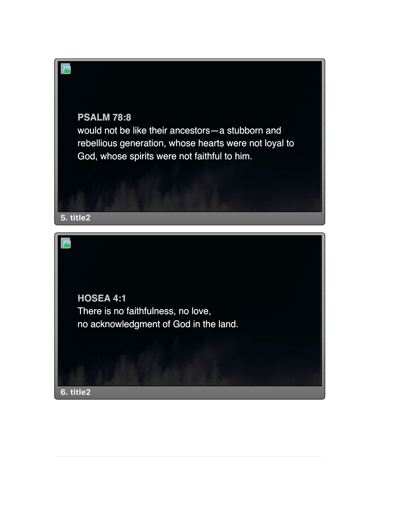

**HOSEA 4:1** There is no faithfulness, no love, no acknowledgment of God in the land.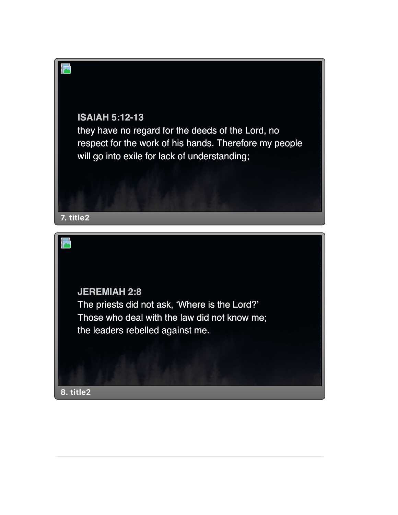## **ISAIAH 5:12-13**

they have no regard for the deeds of the Lord, no respect for the work of his hands. Therefore my people will go into exile for lack of understanding;



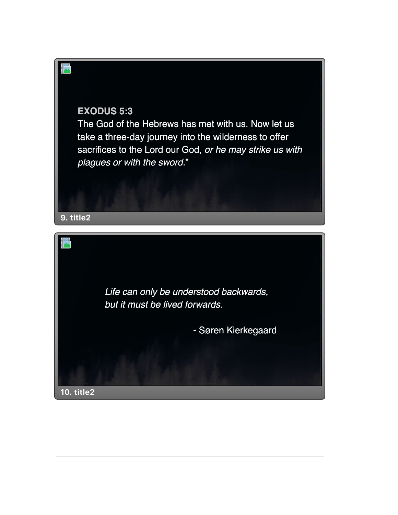

The God of the Hebrews has met with us. Now let us take a three-day journey into the wilderness to offer sacrifices to the Lord our God, *or he may strike us with plagues or with the sword.*"